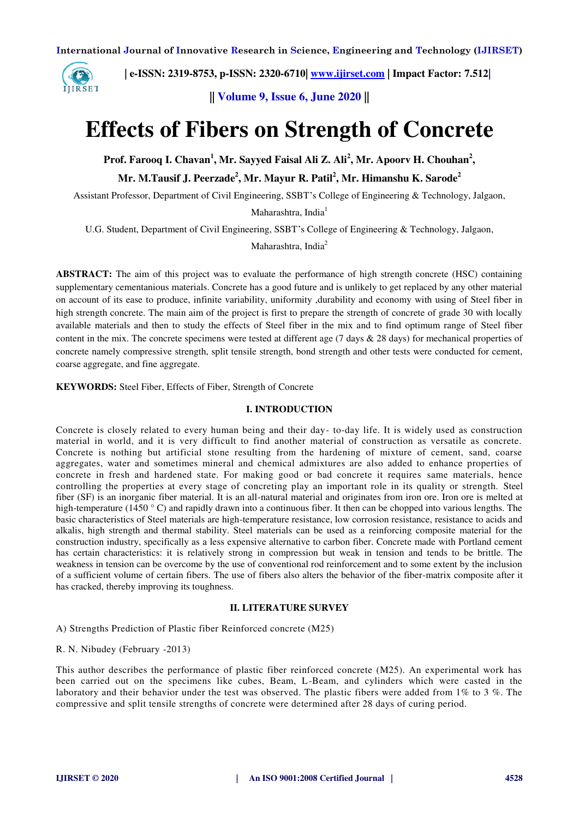

 **| e-ISSN: 2319-8753, p-ISSN: 2320-6710| [www.ijirset.com](http://www.ijirset.com/) | Impact Factor: 7.512|**

**|| Volume 9, Issue 6, June 2020 ||** 

# **Effects of Fibers on Strength of Concrete**

Prof. Farooq I. Chavan<sup>1</sup>, Mr. Sayyed Faisal Ali Z. Ali<sup>2</sup>, Mr. Apoorv H. Chouhan<sup>2</sup>,

**Mr. M.Tausif J. Peerzade<sup>2</sup> , Mr. Mayur R. Patil<sup>2</sup> , Mr. Himanshu K. Sarode<sup>2</sup>**

Assistant Professor, Department of Civil Engineering, SSBT's College of Engineering & Technology, Jalgaon,

Maharashtra, India<sup>1</sup>

U.G. Student, Department of Civil Engineering, SSBT's College of Engineering & Technology, Jalgaon,

Maharashtra, India<sup>2</sup>

**ABSTRACT:** The aim of this project was to evaluate the performance of high strength concrete (HSC) containing supplementary cementanious materials. Concrete has a good future and is unlikely to get replaced by any other material on account of its ease to produce, infinite variability, uniformity ,durability and economy with using of Steel fiber in high strength concrete. The main aim of the project is first to prepare the strength of concrete of grade 30 with locally available materials and then to study the effects of Steel fiber in the mix and to find optimum range of Steel fiber content in the mix. The concrete specimens were tested at different age (7 days & 28 days) for mechanical properties of concrete namely compressive strength, split tensile strength, bond strength and other tests were conducted for cement, coarse aggregate, and fine aggregate.

**KEYWORDS:** Steel Fiber, Effects of Fiber, Strength of Concrete

## **I. INTRODUCTION**

Concrete is closely related to every human being and their day- to-day life. It is widely used as construction material in world, and it is very difficult to find another material of construction as versatile as concrete. Concrete is nothing but artificial stone resulting from the hardening of mixture of cement, sand, coarse aggregates, water and sometimes mineral and chemical admixtures are also added to enhance properties of concrete in fresh and hardened state. For making good or bad concrete it requires same materials, hence controlling the properties at every stage of concreting play an important role in its quality or strength. Steel fiber (SF) is an inorganic fiber material. It is an all-natural material and originates from iron ore. Iron ore is melted at high-temperature (1450 ° C) and rapidly drawn into a continuous fiber. It then can be chopped into various lengths. The basic characteristics of Steel materials are high-temperature resistance, low corrosion resistance, resistance to acids and alkalis, high strength and thermal stability. Steel materials can be used as a reinforcing composite material for the construction industry, specifically as a less expensive alternative to carbon fiber. Concrete made with Portland cement has certain characteristics: it is relatively strong in compression but weak in tension and tends to be brittle. The weakness in tension can be overcome by the use of conventional rod reinforcement and to some extent by the inclusion of a sufficient volume of certain fibers. The use of fibers also alters the behavior of the fiber-matrix composite after it has cracked, thereby improving its toughness.

#### **II. LITERATURE SURVEY**

A) Strengths Prediction of Plastic fiber Reinforced concrete (M25)

R. N. Nibudey (February -2013)

This author describes the performance of plastic fiber reinforced concrete (M25). An experimental work has been carried out on the specimens like cubes, Beam, L-Beam, and cylinders which were casted in the laboratory and their behavior under the test was observed. The plastic fibers were added from 1% to 3%. The compressive and split tensile strengths of concrete were determined after 28 days of curing period.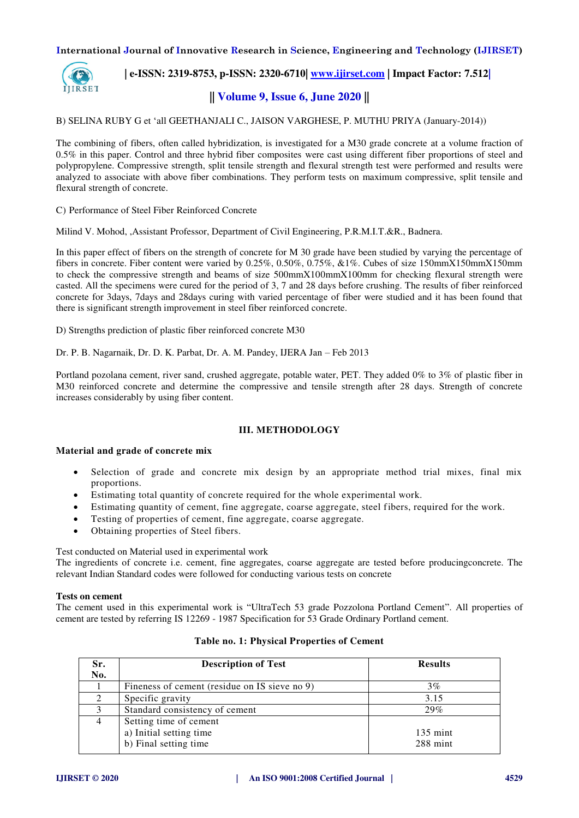

 **| e-ISSN: 2319-8753, p-ISSN: 2320-6710| [www.ijirset.com](http://www.ijirset.com/) | Impact Factor: 7.512|**

# **|| Volume 9, Issue 6, June 2020 ||**

B) SELINA RUBY G et 'all GEETHANJALI C., JAISON VARGHESE, P. MUTHU PRIYA (January-2014))

The combining of fibers, often called hybridization, is investigated for a M30 grade concrete at a volume fraction of 0.5% in this paper. Control and three hybrid fiber composites were cast using different fiber proportions of steel and polypropylene. Compressive strength, split tensile strength and flexural strength test were performed and results were analyzed to associate with above fiber combinations. They perform tests on maximum compressive, split tensile and flexural strength of concrete.

C) Performance of Steel Fiber Reinforced Concrete

Milind V. Mohod, ,Assistant Professor, Department of Civil Engineering, P.R.M.I.T.&R., Badnera.

In this paper effect of fibers on the strength of concrete for M 30 grade have been studied by varying the percentage of fibers in concrete. Fiber content were varied by 0.25%, 0.50%, 0.75%, &1%. Cubes of size 150mmX150mmX150mm to check the compressive strength and beams of size 500mmX100mmX100mm for checking flexural strength were casted. All the specimens were cured for the period of 3, 7 and 28 days before crushing. The results of fiber reinforced concrete for 3days, 7days and 28days curing with varied percentage of fiber were studied and it has been found that there is significant strength improvement in steel fiber reinforced concrete.

D) Strengths prediction of plastic fiber reinforced concrete M30

Dr. P. B. Nagarnaik, Dr. D. K. Parbat, Dr. A. M. Pandey, IJERA Jan – Feb 2013

Portland pozolana cement, river sand, crushed aggregate, potable water, PET. They added 0% to 3% of plastic fiber in M30 reinforced concrete and determine the compressive and tensile strength after 28 days. Strength of concrete increases considerably by using fiber content.

## **III. METHODOLOGY**

## **Material and grade of concrete mix**

- Selection of grade and concrete mix design by an appropriate method trial mixes, final mix proportions.
- Estimating total quantity of concrete required for the whole experimental work.
- Estimating quantity of cement, fine aggregate, coarse aggregate, steel fibers, required for the work.
- Testing of properties of cement, fine aggregate, coarse aggregate.
- Obtaining properties of Steel fibers.

Test conducted on Material used in experimental work

The ingredients of concrete i.e. cement, fine aggregates, coarse aggregate are tested before producingconcrete. The relevant Indian Standard codes were followed for conducting various tests on concrete

#### **Tests on cement**

The cement used in this experimental work is "UltraTech 53 grade Pozzolona Portland Cement". All properties of cement are tested by referring IS 12269 - 1987 Specification for 53 Grade Ordinary Portland cement.

| Sr.            | <b>Description of Test</b>                    | <b>Results</b>     |  |  |
|----------------|-----------------------------------------------|--------------------|--|--|
| No.            |                                               |                    |  |  |
|                | Fineness of cement (residue on IS sieve no 9) | 3%                 |  |  |
|                | Specific gravity                              | 3.15               |  |  |
| 3              | Standard consistency of cement                | 29%                |  |  |
| $\overline{4}$ | Setting time of cement                        |                    |  |  |
|                | a) Initial setting time                       | $135 \text{ mint}$ |  |  |
|                | b) Final setting time                         | $288$ mint         |  |  |

| Table no. 1: Physical Properties of Cement |  |  |  |  |
|--------------------------------------------|--|--|--|--|
|--------------------------------------------|--|--|--|--|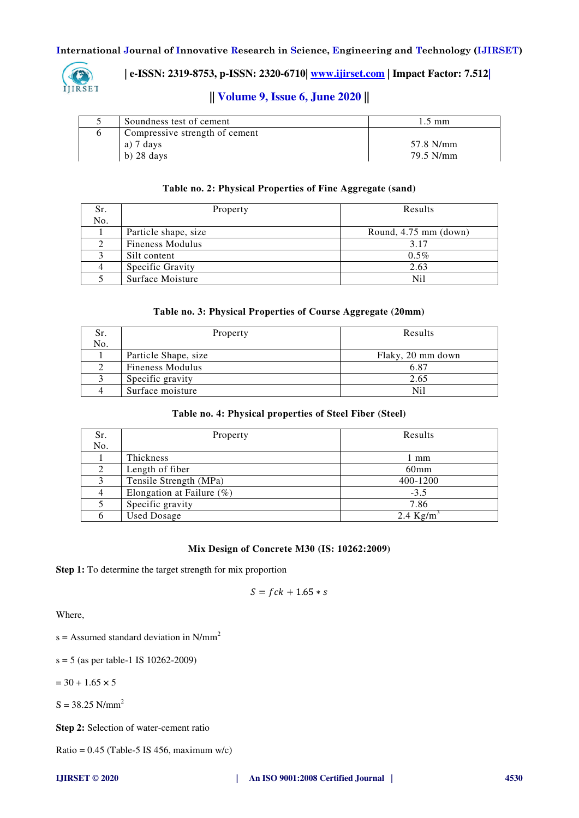

 **| e-ISSN: 2319-8753, p-ISSN: 2320-6710| [www.ijirset.com](http://www.ijirset.com/) | Impact Factor: 7.512|**

# **|| Volume 9, Issue 6, June 2020 ||**

| Soundness test of cement       | .5 mm     |
|--------------------------------|-----------|
| Compressive strength of cement |           |
| a) 7 days                      | 57.8 N/mm |
| $b)$ 28 days                   | 79.5 N/mm |

## **Table no. 2: Physical Properties of Fine Aggregate (sand)**

| Sr. | Property                | Results               |
|-----|-------------------------|-----------------------|
| No. |                         |                       |
|     | Particle shape, size    | Round, 4.75 mm (down) |
|     | <b>Fineness Modulus</b> | 3.17                  |
|     | Silt content            | $0.5\%$               |
|     | Specific Gravity        | 2.63                  |
|     | Surface Moisture        | Nil                   |

## **Table no. 3: Physical Properties of Course Aggregate (20mm)**

| Sr. | Property                | Results           |
|-----|-------------------------|-------------------|
| No. |                         |                   |
|     | Particle Shape, size    | Flaky, 20 mm down |
|     | <b>Fineness Modulus</b> | 6.87              |
|     | Specific gravity        | 2.65              |
|     | Surface moisture        | Nil               |

## **Table no. 4: Physical properties of Steel Fiber (Steel)**

| Sr. | Property                     | Results          |
|-----|------------------------------|------------------|
| No. |                              |                  |
|     | Thickness                    | l mm             |
|     | Length of fiber              | 60 <sub>mm</sub> |
|     | Tensile Strength (MPa)       | 400-1200         |
|     | Elongation at Failure $(\%)$ | $-3.5$           |
|     | Specific gravity             | 7.86             |
|     | <b>Used Dosage</b>           | 2.4 $Kg/m^3$     |

## **Mix Design of Concrete M30 (IS: 10262:2009)**

**Step 1:** To determine the target strength for mix proportion

$$
S = fck + 1.65 * s
$$

Where,

 $s =$  Assumed standard deviation in N/mm<sup>2</sup>

s = 5 (as per table-1 IS 10262-2009)

 $= 30 + 1.65 \times 5$ 

 $S = 38.25$  N/mm<sup>2</sup>

**Step 2:** Selection of water-cement ratio

Ratio =  $0.45$  (Table-5 IS 456, maximum w/c)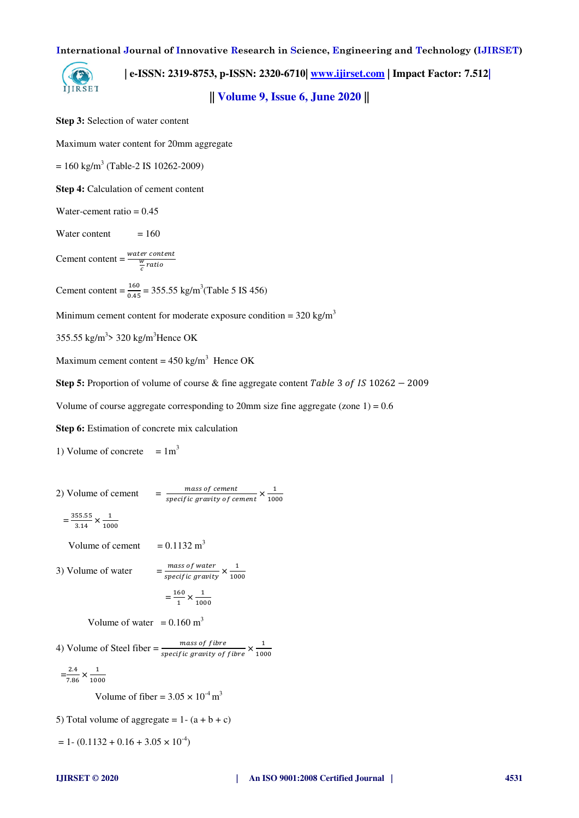**| e-ISSN: 2319-8753, p-ISSN: 2320-6710| [www.ijirset.com](http://www.ijirset.com/) | Impact Factor: 7.512|**

**|| Volume 9, Issue 6, June 2020 ||** 

**Step 3:** Selection of water content

Maximum water content for 20mm aggregate

 $= 160 \text{ kg/m}^3 \text{ (Table-2 IS } 10262 - 2009)$ 

**Step 4:** Calculation of cement content

Water-cement ratio  $= 0.45$ 

Water content  $= 160$ 

Cement content =  $\frac{water\ content}{\frac{w}{c}ratio}$ 

Cement content =  $\frac{160}{0.45}$  = 355.55 kg/m<sup>3</sup>(Table 5 IS 456)

Minimum cement content for moderate exposure condition =  $320 \text{ kg/m}^3$ 

355.55 kg/m<sup>3</sup>> 320 kg/m<sup>3</sup>Hence OK

Maximum cement content =  $450 \text{ kg/m}^3$  Hence OK

**Step 5:** Proportion of volume of course & fine aggregate content *Table*  $3$  *of IS*  $10262 - 2009$ 

1000

Volume of course aggregate corresponding to 20mm size fine aggregate (zone  $1$ ) = 0.6

**Step 6:** Estimation of concrete mix calculation

1) Volume of concrete  $= 1m<sup>3</sup>$ 

2) Volume of cement  $= \frac{mass\ of\ cement}{specific\ gravity\ of\ cement} \times \frac{1}{100}$ 1000

$$
=\frac{355.55}{3.14} \times \frac{1}{1000}
$$

Volume of cement  $= 0.1132 \text{ m}^3$ 

3) Volume of water  $= \frac{mass \space of \space water}{specific \space gravity} \times \frac{1}{100}$ 

$$
=\frac{160}{1} \times \frac{1}{1000}
$$

Volume of water =  $0.160 \text{ m}^3$ 

4) Volume of Steel fiber  $=\frac{mass~of~fibre}{specific~gravity~of~fibre} \times \frac{1}{100}$ 1000

$$
=\frac{2.4}{7.86} \times \frac{1}{1000}
$$

Volume of fiber =  $3.05 \times 10^{-4}$  m<sup>3</sup>

5) Total volume of aggregate =  $1-(a + b + c)$ 

 $= 1 - (0.1132 + 0.16 + 3.05 \times 10^{-4})$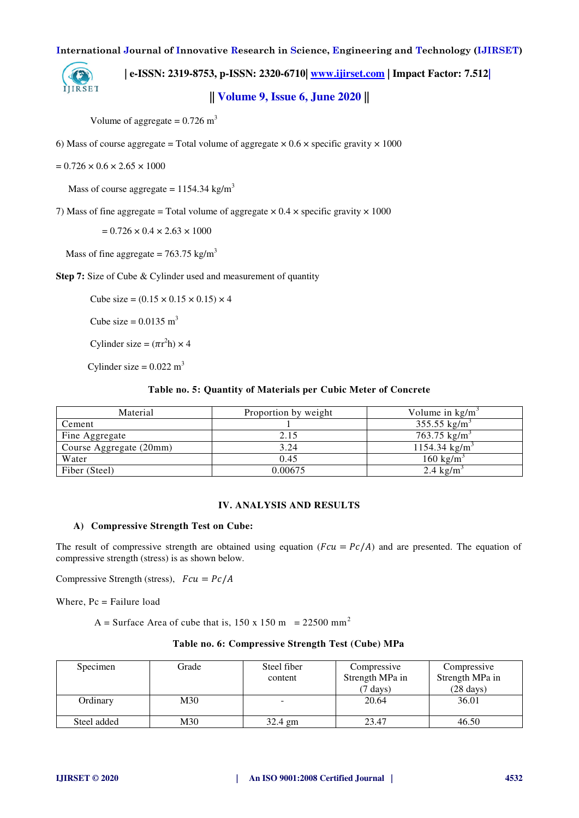

 **| e-ISSN: 2319-8753, p-ISSN: 2320-6710| [www.ijirset.com](http://www.ijirset.com/) | Impact Factor: 7.512|**

# **|| Volume 9, Issue 6, June 2020 ||**

Volume of aggregate =  $0.726$  m<sup>3</sup>

6) Mass of course aggregate = Total volume of aggregate  $\times 0.6 \times$  specific gravity  $\times 1000$ 

$$
= 0.726 \times 0.6 \times 2.65 \times 1000
$$

Mass of course aggregate =  $1154.34$  kg/m<sup>3</sup>

7) Mass of fine aggregate = Total volume of aggregate  $\times$  0.4  $\times$  specific gravity  $\times$  1000

 $= 0.726 \times 0.4 \times 2.63 \times 1000$ 

Mass of fine aggregate =  $763.75$  kg/m<sup>3</sup>

**Step 7:** Size of Cube & Cylinder used and measurement of quantity

Cube size =  $(0.15 \times 0.15 \times 0.15) \times 4$ 

Cube size =  $0.0135 \text{ m}^3$ 

Cylinder size =  $(\pi r^2 h) \times 4$ 

Cylinder size =  $0.022$  m<sup>3</sup>

### **Table no. 5: Quantity of Materials per Cubic Meter of Concrete**

| Material                | Proportion by weight | Volume in $\text{kg/m}^3$ |
|-------------------------|----------------------|---------------------------|
| Cement                  |                      | 355.55 kg/m <sup>3</sup>  |
| Fine Aggregate          | 2.15                 | 763.75 kg/m <sup>3</sup>  |
| Course Aggregate (20mm) | 3.24                 | 1154.34 kg/m <sup>3</sup> |
| Water                   | 0.45                 | $160 \text{ kg/m}^3$      |
| Fiber (Steel)           | 0.00675              | 2.4 $\text{kg/m}^3$       |

## **IV. ANALYSIS AND RESULTS**

## **A) Compressive Strength Test on Cube:**

The result of compressive strength are obtained using equation ( $Fcu = Pc/A$ ) and are presented. The equation of compressive strength (stress) is as shown below.

Compressive Strength (stress),  $Fcu = Pc/A$ 

Where, Pc = Failure load

A = Surface Area of cube that is,  $150 \times 150$  m = 22500 mm<sup>2</sup>

#### **Table no. 6: Compressive Strength Test (Cube) MPa**

| Specimen    | Grade<br>Steel fiber |         | Compressive        | Compressive         |  |
|-------------|----------------------|---------|--------------------|---------------------|--|
|             |                      | content | Strength MPa in    | Strength MPa in     |  |
|             |                      |         | $(7 \text{ days})$ | $(28 \text{ days})$ |  |
| Ordinary    | M30                  |         | 20.64              | 36.01               |  |
|             |                      |         |                    |                     |  |
| Steel added | M30                  | 32.4 gm | 23.47              | 46.50               |  |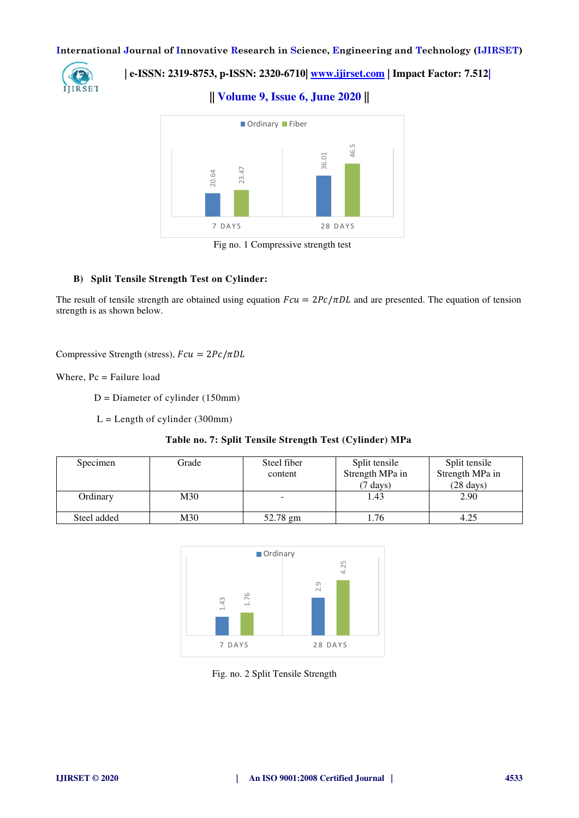

 **| e-ISSN: 2319-8753, p-ISSN: 2320-6710| [www.ijirset.com](http://www.ijirset.com/) | Impact Factor: 7.512|**

**|| Volume 9, Issue 6, June 2020 ||** 



Fig no. 1 Compressive strength test

## **B) Split Tensile Strength Test on Cylinder:**

## **Table no. 7: Split Tensile Strength Test (Cylinder) MPa**

|                                                                                                                                                         | 23.47<br>20.64<br>7 DAYS                           | 36.01                                                   | 46.5                                  |                                        |
|---------------------------------------------------------------------------------------------------------------------------------------------------------|----------------------------------------------------|---------------------------------------------------------|---------------------------------------|----------------------------------------|
|                                                                                                                                                         |                                                    | Fig no. 1 Compressive strength test                     | 28 DAYS                               |                                        |
|                                                                                                                                                         |                                                    |                                                         |                                       |                                        |
|                                                                                                                                                         | <b>B)</b> Split Tensile Strength Test on Cylinder: |                                                         |                                       |                                        |
| The result of tensile strength are obtained using equation $Fcu = 2Pc/\pi DL$ and are presented. The equation of tension<br>strength is as shown below. |                                                    |                                                         |                                       |                                        |
| Compressive Strength (stress), $Fcu = 2Pc/πDL$                                                                                                          |                                                    |                                                         |                                       |                                        |
| Where, $Pc = \text{Failure load}$                                                                                                                       |                                                    |                                                         |                                       |                                        |
|                                                                                                                                                         | $D =$ Diameter of cylinder (150mm)                 |                                                         |                                       |                                        |
|                                                                                                                                                         | $L =$ Length of cylinder (300mm)                   |                                                         |                                       |                                        |
|                                                                                                                                                         |                                                    |                                                         |                                       |                                        |
|                                                                                                                                                         |                                                    | Table no. 7: Split Tensile Strength Test (Cylinder) MPa |                                       |                                        |
| Specimen                                                                                                                                                | Grade                                              | Steel fiber                                             | Split tensile                         | Split tensile                          |
|                                                                                                                                                         |                                                    | content                                                 | Strength MPa in<br>$(7 \text{ days})$ | Strength MPa in<br>$(28 \text{ days})$ |
| Ordinary                                                                                                                                                | M30                                                |                                                         | 1.43                                  | 2.90                                   |
|                                                                                                                                                         |                                                    |                                                         |                                       |                                        |
| Steel added                                                                                                                                             | M30                                                | 52.78 gm                                                | 1.76                                  | 4.25                                   |



Fig. no. 2 Split Tensile Strength